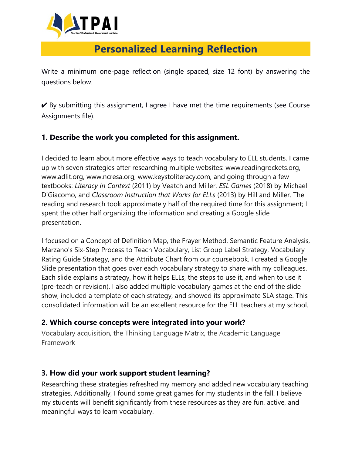

# **Personalized Learning Reflection**

Write a minimum one-page reflection (single spaced, size 12 font) by answering the questions below.

 $\vee$  By submitting this assignment, I agree I have met the time requirements (see Course Assignments file).

### **1. Describe the work you completed for this assignment.**

I decided to learn about more effective ways to teach vocabulary to ELL students. I came up with seven strategies after researching multiple websites: www.readingrockets.org, www.adlit.org, www.ncresa.org, www.keystoliteracy.com, and going through a few textbooks: *Literacy in Context* (2011) by Veatch and Miller, *ESL Games* (2018) by Michael DiGiacomo, and *Classroom Instruction that Works for ELLs* (2013) by Hill and Miller. The reading and research took approximately half of the required time for this assignment; I spent the other half organizing the information and creating a Google slide presentation.

I focused on a Concept of Definition Map, the Frayer Method, Semantic Feature Analysis, Marzano's Six-Step Process to Teach Vocabulary, List Group Label Strategy, Vocabulary Rating Guide Strategy, and the Attribute Chart from our coursebook. I created a Google Slide presentation that goes over each vocabulary strategy to share with my colleagues. Each slide explains a strategy, how it helps ELLs, the steps to use it, and when to use it (pre-teach or revision). I also added multiple vocabulary games at the end of the slide show, included a template of each strategy, and showed its approximate SLA stage. This consolidated information will be an excellent resource for the ELL teachers at my school.

#### **2. Which course concepts were integrated into your work?**

Vocabulary acquisition, the Thinking Language Matrix, the Academic Language Framework

## **3. How did your work support student learning?**

Researching these strategies refreshed my memory and added new vocabulary teaching strategies. Additionally, I found some great games for my students in the fall. I believe my students will benefit significantly from these resources as they are fun, active, and meaningful ways to learn vocabulary.